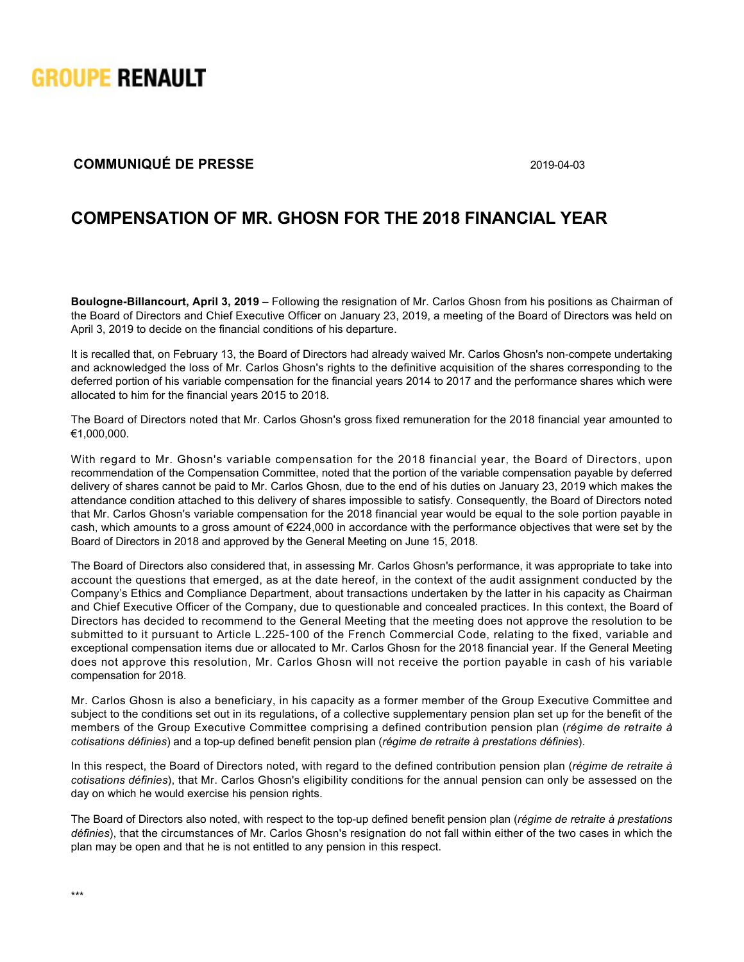

## **COMMUNIQUÉ DE PRESSE** 2019-04-03

## **COMPENSATION OF MR. GHOSN FOR THE 2018 FINANCIAL YEAR**

**Boulogne-Billancourt, April 3, 2019** – Following the resignation of Mr. Carlos Ghosn from his positions as Chairman of the Board of Directors and Chief Executive Officer on January 23, 2019, a meeting of the Board of Directors was held on April 3, 2019 to decide on the financial conditions of his departure.

It is recalled that, on February 13, the Board of Directors had already waived Mr. Carlos Ghosn's non-compete undertaking and acknowledged the loss of Mr. Carlos Ghosn's rights to the definitive acquisition of the shares corresponding to the deferred portion of his variable compensation for the financial years 2014 to 2017 and the performance shares which were allocated to him for the financial years 2015 to 2018.

The Board of Directors noted that Mr. Carlos Ghosn's gross fixed remuneration for the 2018 financial year amounted to €1,000,000.

With regard to Mr. Ghosn's variable compensation for the 2018 financial year, the Board of Directors, upon recommendation of the Compensation Committee, noted that the portion of the variable compensation payable by deferred delivery of shares cannot be paid to Mr. Carlos Ghosn, due to the end of his duties on January 23, 2019 which makes the attendance condition attached to this delivery of shares impossible to satisfy. Consequently, the Board of Directors noted that Mr. Carlos Ghosn's variable compensation for the 2018 financial year would be equal to the sole portion payable in cash, which amounts to a gross amount of €224,000 in accordance with the performance objectives that were set by the Board of Directors in 2018 and approved by the General Meeting on June 15, 2018.

The Board of Directors also considered that, in assessing Mr. Carlos Ghosn's performance, it was appropriate to take into account the questions that emerged, as at the date hereof, in the context of the audit assignment conducted by the Company's Ethics and Compliance Department, about transactions undertaken by the latter in his capacity as Chairman and Chief Executive Officer of the Company, due to questionable and concealed practices. In this context, the Board of Directors has decided to recommend to the General Meeting that the meeting does not approve the resolution to be submitted to it pursuant to Article L.225-100 of the French Commercial Code, relating to the fixed, variable and exceptional compensation items due or allocated to Mr. Carlos Ghosn for the 2018 financial year. If the General Meeting does not approve this resolution, Mr. Carlos Ghosn will not receive the portion payable in cash of his variable compensation for 2018.

Mr. Carlos Ghosn is also a beneficiary, in his capacity as a former member of the Group Executive Committee and subject to the conditions set out in its regulations, of a collective supplementary pension plan set up for the benefit of the members of the Group Executive Committee comprising a defined contribution pension plan (*régime de retraite à cotisations définies*) and a topup defined benefit pension plan (*régime de retraite à prestations définies*).

In this respect, the Board of Directors noted, with regard to the defined contribution pension plan (*régime de retraite à cotisations définies*), that Mr. Carlos Ghosn's eligibility conditions for the annual pension can only be assessed on the day on which he would exercise his pension rights.

The Board of Directors also noted, with respect to the top-up defined benefit pension plan (*régime de retraite à prestations définies*), that the circumstances of Mr. Carlos Ghosn's resignation do not fall within either of the two cases in which the plan may be open and that he is not entitled to any pension in this respect.